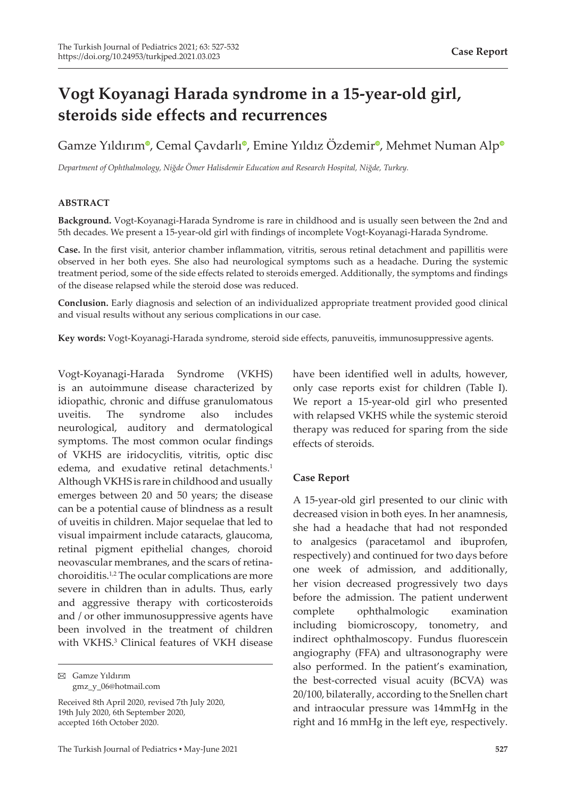# **Vogt Koyanagi Harada syndrome in a 15-year-old girl, steroids side effects and recurrences**

Gamze Yıldırım<sup>o</sup>[,](https://orcid.org/0000-0003-3058-6308) Cemal Çavdarl[ı](https://orcid.org/0000-0001-8379-4384)<sup>o</sup>, Emine Yıldız Özdemi[r](https://orcid.org/0000-0002-4945-0278)<su[p](https://orcid.org/0000-0001-7357-5399)>o</sup>, Mehmet Numan Alp<sup>o</sup>

*Department of Ophthalmology, Niğde Ömer Halisdemir Education and Research Hospital, Niğde, Turkey.*

#### **ABSTRACT**

**Background.** Vogt-Koyanagi-Harada Syndrome is rare in childhood and is usually seen between the 2nd and 5th decades. We present a 15-year-old girl with findings of incomplete Vogt-Koyanagi-Harada Syndrome.

**Case.** In the first visit, anterior chamber inflammation, vitritis, serous retinal detachment and papillitis were observed in her both eyes. She also had neurological symptoms such as a headache. During the systemic treatment period, some of the side effects related to steroids emerged. Additionally, the symptoms and findings of the disease relapsed while the steroid dose was reduced.

**Conclusion.** Early diagnosis and selection of an individualized appropriate treatment provided good clinical and visual results without any serious complications in our case.

**Key words:** Vogt-Koyanagi-Harada syndrome, steroid side effects, panuveitis, immunosuppressive agents.

Vogt-Koyanagi-Harada Syndrome (VKHS) is an autoimmune disease characterized by idiopathic, chronic and diffuse granulomatous uveitis. The syndrome also includes neurological, auditory and dermatological symptoms. The most common ocular findings of VKHS are iridocyclitis, vitritis, optic disc edema, and exudative retinal detachments.<sup>1</sup> Although VKHS is rare in childhood and usually emerges between 20 and 50 years; the disease can be a potential cause of blindness as a result of uveitis in children. Major sequelae that led to visual impairment include cataracts, glaucoma, retinal pigment epithelial changes, choroid neovascular membranes, and the scars of retinachoroiditis.<sup>1,2</sup> The ocular complications are more severe in children than in adults. Thus, early and aggressive therapy with corticosteroids and / or other immunosuppressive agents have been involved in the treatment of children with VKHS.<sup>3</sup> Clinical features of VKH disease

Gamze Yıldırım gmz\_y\_06@hotmail.com

Received 8th April 2020, revised 7th July 2020, 19th July 2020, 6th September 2020, accepted 16th October 2020.

have been identified well in adults, however, only case reports exist for children (Table I). We report a 15-year-old girl who presented with relapsed VKHS while the systemic steroid therapy was reduced for sparing from the side effects of steroids.

## **Case Report**

A 15-year-old girl presented to our clinic with decreased vision in both eyes. In her anamnesis, she had a headache that had not responded to analgesics (paracetamol and ibuprofen, respectively) and continued for two days before one week of admission, and additionally, her vision decreased progressively two days before the admission. The patient underwent complete ophthalmologic examination including biomicroscopy, tonometry, and indirect ophthalmoscopy. Fundus fluorescein angiography (FFA) and ultrasonography were also performed. In the patient's examination, the best-corrected visual acuity (BCVA) was 20/100, bilaterally, according to the Snellen chart and intraocular pressure was 14mmHg in the right and 16 mmHg in the left eye, respectively.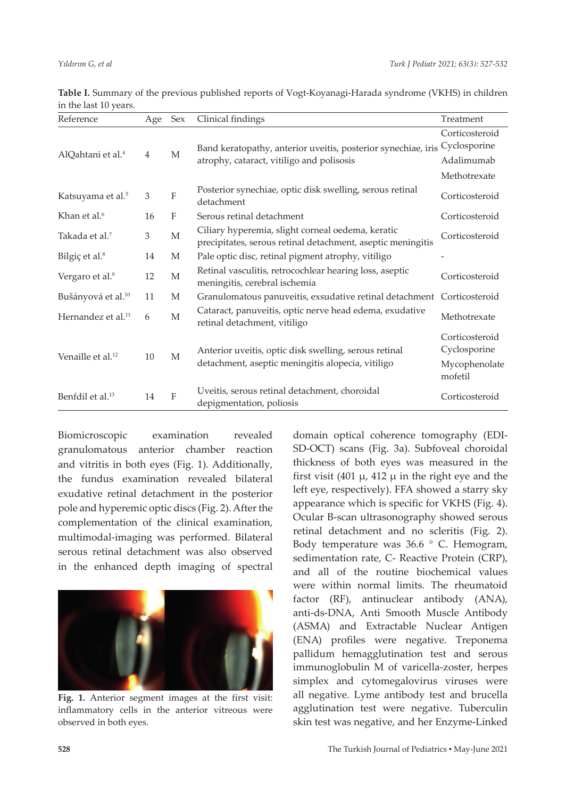| Reference                      | Age | Sex          | Clinical findings                                                                                                | Treatment                                       |
|--------------------------------|-----|--------------|------------------------------------------------------------------------------------------------------------------|-------------------------------------------------|
|                                |     |              |                                                                                                                  | Corticosteroid<br>Cyclosporine                  |
| AlQahtani et al. <sup>4</sup>  | 4   | M            | Band keratopathy, anterior uveitis, posterior synechiae, iris<br>atrophy, cataract, vitiligo and polisosis       | Adalimumab                                      |
|                                |     |              |                                                                                                                  | Methotrexate                                    |
| Katsuyama et al. <sup>5</sup>  | 3   | F            | Posterior synechiae, optic disk swelling, serous retinal<br>detachment                                           | Corticosteroid                                  |
| Khan et al. <sup>6</sup>       | 16  | $\mathbf{F}$ | Serous retinal detachment                                                                                        | Corticosteroid                                  |
| Takada et al. <sup>7</sup>     | 3   | M            | Ciliary hyperemia, slight corneal oedema, keratic<br>precipitates, serous retinal detachment, aseptic meningitis | Corticosteroid                                  |
| Bilgiç et al. <sup>8</sup>     | 14  | М            | Pale optic disc, retinal pigment atrophy, vitiligo                                                               |                                                 |
| Vergaro et al. <sup>9</sup>    | 12  | M            | Retinal vasculitis, retrocochlear hearing loss, aseptic<br>meningitis, cerebral ischemia                         | Corticosteroid                                  |
| Bušányová et al. <sup>10</sup> | 11  | M            | Granulomatous panuveitis, exsudative retinal detachment                                                          | Corticosteroid                                  |
| Hernandez et al. <sup>11</sup> | 6   | M            | Cataract, panuveitis, optic nerve head edema, exudative<br>retinal detachment, vitiligo                          | Methotrexate                                    |
| Venaille et al. <sup>12</sup>  | 10  | M            | Anterior uveitis, optic disk swelling, serous retinal<br>detachment, aseptic meningitis alopecia, vitiligo       | Corticosteroid<br>Cyclosporine<br>Mycophenolate |
|                                |     |              |                                                                                                                  | mofetil                                         |
| Benfdil et al. <sup>13</sup>   | 14  | $\mathbf{F}$ | Uveitis, serous retinal detachment, choroidal<br>depigmentation, poliosis                                        | Corticosteroid                                  |

**Table I.** Summary of the previous published reports of Vogt-Koyanagi-Harada syndrome (VKHS) in children in the last 10 years.

Biomicroscopic examination revealed granulomatous anterior chamber reaction and vitritis in both eyes (Fig. 1). Additionally, the fundus examination revealed bilateral exudative retinal detachment in the posterior pole and hyperemic optic discs (Fig. 2). After the complementation of the clinical examination, multimodal-imaging was performed. Bilateral serous retinal detachment was also observed in the enhanced depth imaging of spectral



**Fig. 1.** Anterior segment images at the first visit: inflammatory cells in the anterior vitreous were observed in both eyes.

domain optical coherence tomography (EDI-SD-OCT) scans (Fig. 3a). Subfoveal choroidal thickness of both eyes was measured in the first visit (401  $\mu$ , 412  $\mu$  in the right eye and the left eye, respectively). FFA showed a starry sky appearance which is specific for VKHS (Fig. 4). Ocular B-scan ultrasonography showed serous retinal detachment and no scleritis (Fig. 2). Body temperature was 36.6 ° C. Hemogram, sedimentation rate, C- Reactive Protein (CRP), and all of the routine biochemical values were within normal limits. The rheumatoid factor (RF), antinuclear antibody (ANA), anti-ds-DNA, Anti Smooth Muscle Antibody (ASMA) and Extractable Nuclear Antigen (ENA) profiles were negative. Treponema pallidum hemagglutination test and serous immunoglobulin M of varicella-zoster, herpes simplex and cytomegalovirus viruses were all negative. Lyme antibody test and brucella agglutination test were negative. Tuberculin skin test was negative, and her Enzyme-Linked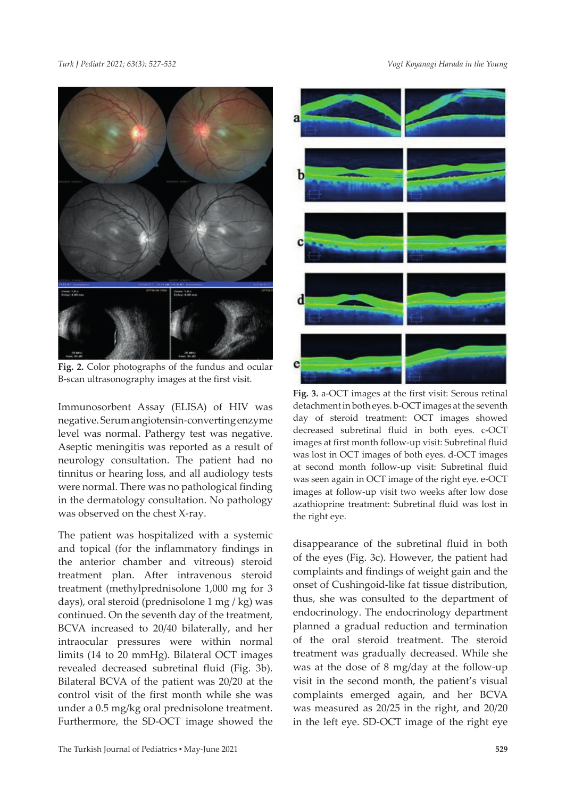

**Fig. 2.** Color photographs of the fundus and ocular B-scan ultrasonography images at the first visit.

Immunosorbent Assay (ELISA) of HIV was negative. Serum angiotensin-converting enzyme level was normal. Pathergy test was negative. Aseptic meningitis was reported as a result of neurology consultation. The patient had no tinnitus or hearing loss, and all audiology tests were normal. There was no pathological finding in the dermatology consultation. No pathology was observed on the chest X-ray.

The patient was hospitalized with a systemic and topical (for the inflammatory findings in the anterior chamber and vitreous) steroid treatment plan. After intravenous steroid treatment (methylprednisolone 1,000 mg for 3 days), oral steroid (prednisolone 1 mg / kg) was continued. On the seventh day of the treatment, BCVA increased to 20/40 bilaterally, and her intraocular pressures were within normal limits (14 to 20 mmHg). Bilateral OCT images revealed decreased subretinal fluid (Fig. 3b). Bilateral BCVA of the patient was 20/20 at the control visit of the first month while she was under a 0.5 mg/kg oral prednisolone treatment. Furthermore, the SD-OCT image showed the



**Fig. 3.** a-OCT images at the first visit: Serous retinal detachment in both eyes. b-OCT images at the seventh day of steroid treatment: OCT images showed decreased subretinal fluid in both eyes. c-OCT images at first month follow-up visit: Subretinal fluid was lost in OCT images of both eyes. d-OCT images at second month follow-up visit: Subretinal fluid was seen again in OCT image of the right eye. e-OCT images at follow-up visit two weeks after low dose azathioprine treatment: Subretinal fluid was lost in the right eye.

disappearance of the subretinal fluid in both of the eyes (Fig. 3c). However, the patient had complaints and findings of weight gain and the onset of Cushingoid-like fat tissue distribution, thus, she was consulted to the department of endocrinology. The endocrinology department planned a gradual reduction and termination of the oral steroid treatment. The steroid treatment was gradually decreased. While she was at the dose of 8 mg/day at the follow-up visit in the second month, the patient's visual complaints emerged again, and her BCVA was measured as 20/25 in the right, and 20/20 in the left eye. SD-OCT image of the right eye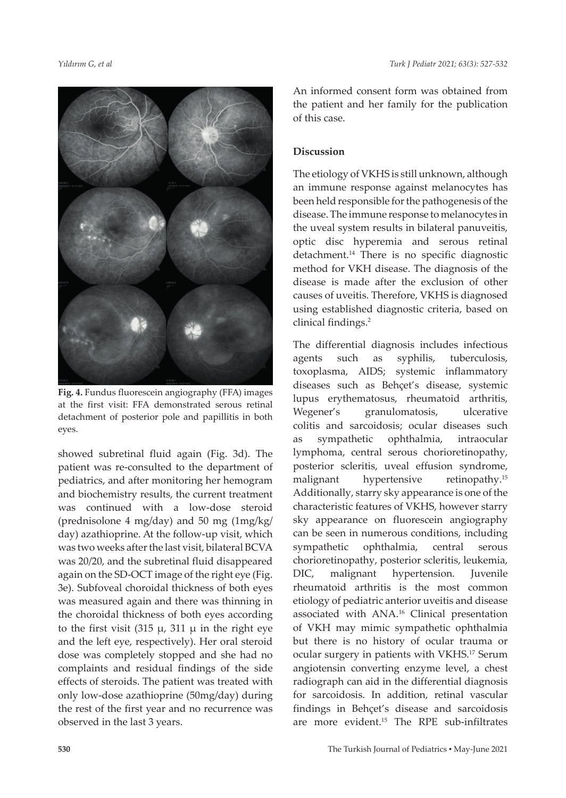

**Fig. 4.** Fundus fluorescein angiography (FFA) images at the first visit: FFA demonstrated serous retinal detachment of posterior pole and papillitis in both eyes.

showed subretinal fluid again (Fig. 3d). The patient was re-consulted to the department of pediatrics, and after monitoring her hemogram and biochemistry results, the current treatment was continued with a low-dose steroid (prednisolone 4 mg/day) and 50 mg (1mg/kg/ day) azathioprine. At the follow-up visit, which was two weeks after the last visit, bilateral BCVA was 20/20, and the subretinal fluid disappeared again on the SD-OCT image of the right eye (Fig. 3e). Subfoveal choroidal thickness of both eyes was measured again and there was thinning in the choroidal thickness of both eyes according to the first visit (315  $\mu$ , 311  $\mu$  in the right eye and the left eye, respectively). Her oral steroid dose was completely stopped and she had no complaints and residual findings of the side effects of steroids. The patient was treated with only low-dose azathioprine (50mg/day) during the rest of the first year and no recurrence was observed in the last 3 years.

An informed consent form was obtained from the patient and her family for the publication of this case.

#### **Discussion**

The etiology of VKHS is still unknown, although an immune response against melanocytes has been held responsible for the pathogenesis of the disease. The immune response to melanocytes in the uveal system results in bilateral panuveitis, optic disc hyperemia and serous retinal detachment.<sup>14</sup> There is no specific diagnostic method for VKH disease. The diagnosis of the disease is made after the exclusion of other causes of uveitis. Therefore, VKHS is diagnosed using established diagnostic criteria, based on clinical findings.<sup>2</sup>

The differential diagnosis includes infectious agents such as syphilis, tuberculosis, toxoplasma, AIDS; systemic inflammatory diseases such as Behçet's disease, systemic lupus erythematosus, rheumatoid arthritis, Wegener's granulomatosis, ulcerative colitis and sarcoidosis; ocular diseases such as sympathetic ophthalmia, intraocular lymphoma, central serous chorioretinopathy, posterior scleritis, uveal effusion syndrome, malignant hypertensive retinopathy.<sup>15</sup> Additionally, starry sky appearance is one of the characteristic features of VKHS, however starry sky appearance on fluorescein angiography can be seen in numerous conditions, including sympathetic ophthalmia, central serous chorioretinopathy, posterior scleritis, leukemia, DIC, malignant hypertension. Juvenile rheumatoid arthritis is the most common etiology of pediatric anterior uveitis and disease associated with ANA.16 Clinical presentation of VKH may mimic sympathetic ophthalmia but there is no history of ocular trauma or ocular surgery in patients with VKHS.17 Serum angiotensin converting enzyme level, a chest radiograph can aid in the differential diagnosis for sarcoidosis. In addition, retinal vascular findings in Behçet's disease and sarcoidosis are more evident.15 The RPE sub-infiltrates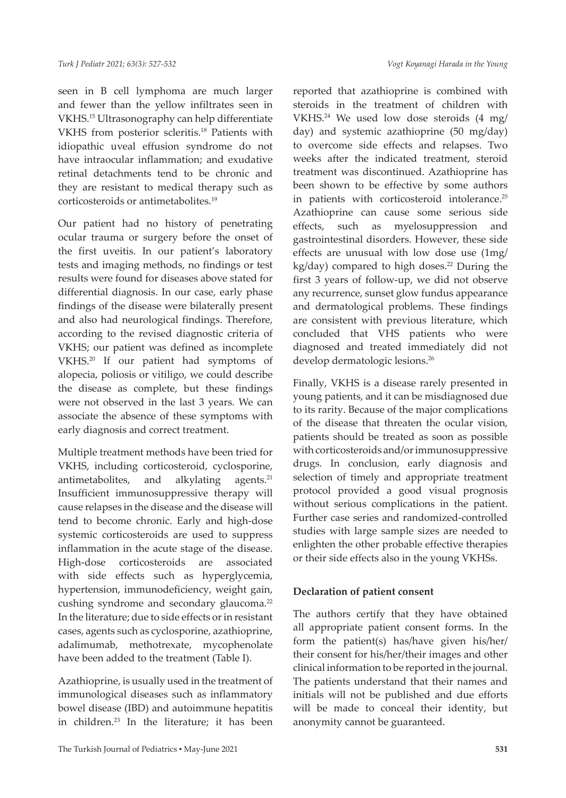seen in B cell lymphoma are much larger and fewer than the yellow infiltrates seen in VKHS.15 Ultrasonography can help differentiate VKHS from posterior scleritis.18 Patients with idiopathic uveal effusion syndrome do not have intraocular inflammation; and exudative retinal detachments tend to be chronic and they are resistant to medical therapy such as corticosteroids or antimetabolites.19

Our patient had no history of penetrating ocular trauma or surgery before the onset of the first uveitis. In our patient's laboratory tests and imaging methods, no findings or test results were found for diseases above stated for differential diagnosis. In our case, early phase findings of the disease were bilaterally present and also had neurological findings. Therefore, according to the revised diagnostic criteria of VKHS; our patient was defined as incomplete VKHS.20 If our patient had symptoms of alopecia, poliosis or vitiligo, we could describe the disease as complete, but these findings were not observed in the last 3 years. We can associate the absence of these symptoms with early diagnosis and correct treatment.

Multiple treatment methods have been tried for VKHS, including corticosteroid, cyclosporine, antimetabolites, and alkylating agents. $21$ Insufficient immunosuppressive therapy will cause relapses in the disease and the disease will tend to become chronic. Early and high-dose systemic corticosteroids are used to suppress inflammation in the acute stage of the disease. High-dose corticosteroids are associated with side effects such as hyperglycemia, hypertension, immunodeficiency, weight gain, cushing syndrome and secondary glaucoma.<sup>22</sup> In the literature; due to side effects or in resistant cases, agents such as cyclosporine, azathioprine, adalimumab, methotrexate, mycophenolate have been added to the treatment (Table I).

Azathioprine, is usually used in the treatment of immunological diseases such as inflammatory bowel disease (IBD) and autoimmune hepatitis in children.23 In the literature; it has been

reported that azathioprine is combined with steroids in the treatment of children with VKHS.24 We used low dose steroids (4 mg/ day) and systemic azathioprine (50 mg/day) to overcome side effects and relapses. Two weeks after the indicated treatment, steroid treatment was discontinued. Azathioprine has been shown to be effective by some authors in patients with corticosteroid intolerance.<sup>25</sup> Azathioprine can cause some serious side effects, such as myelosuppression and gastrointestinal disorders. However, these side effects are unusual with low dose use (1mg/  $kg/day)$  compared to high doses.<sup>22</sup> During the first 3 years of follow-up, we did not observe any recurrence, sunset glow fundus appearance and dermatological problems. These findings are consistent with previous literature, which concluded that VHS patients who were diagnosed and treated immediately did not develop dermatologic lesions.<sup>26</sup>

Finally, VKHS is a disease rarely presented in young patients, and it can be misdiagnosed due to its rarity. Because of the major complications of the disease that threaten the ocular vision, patients should be treated as soon as possible with corticosteroids and/or immunosuppressive drugs. In conclusion, early diagnosis and selection of timely and appropriate treatment protocol provided a good visual prognosis without serious complications in the patient. Further case series and randomized-controlled studies with large sample sizes are needed to enlighten the other probable effective therapies or their side effects also in the young VKHSs.

#### **Declaration of patient consent**

The authors certify that they have obtained all appropriate patient consent forms. In the form the patient(s) has/have given his/her/ their consent for his/her/their images and other clinical information to be reported in the journal. The patients understand that their names and initials will not be published and due efforts will be made to conceal their identity, but anonymity cannot be guaranteed.